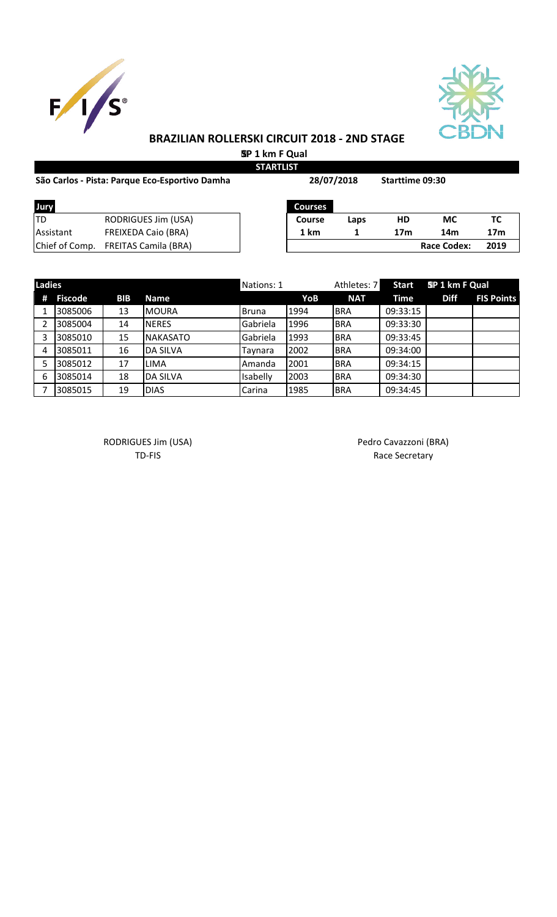



 **SP 1 km F Qual STARTLIST**

| São Carlos - Pista: Parque Eco-Esportivo Damha |                                     | 28/07/2018     |      | <b>Starttime 09:30</b> |                    |                 |
|------------------------------------------------|-------------------------------------|----------------|------|------------------------|--------------------|-----------------|
| Jury                                           |                                     | <b>Courses</b> |      |                        |                    |                 |
| ltd                                            | RODRIGUES Jim (USA)                 | <b>Course</b>  | Laps | <b>HD</b>              | МC                 | тс              |
| Assistant                                      | <b>FREIXEDA Caio (BRA)</b>          | 1 km           |      | 17 <sub>m</sub>        | 14m                | 17 <sub>m</sub> |
|                                                | Chief of Comp. FREITAS Camila (BRA) |                |      |                        | <b>Race Codex:</b> | 2019            |

| <b>Ladies</b> |                |            |                 | Nations: 1   |      | Athletes: 7 | <b>Start</b> | SP 1 km F Qual |                   |
|---------------|----------------|------------|-----------------|--------------|------|-------------|--------------|----------------|-------------------|
| #             | <b>Fiscode</b> | <b>BIB</b> | <b>Name</b>     |              | YoB  | <b>NAT</b>  | Time         | <b>Diff</b>    | <b>FIS Points</b> |
|               | 3085006        | 13         | <b>MOURA</b>    | <b>Bruna</b> | 1994 | <b>BRA</b>  | 09:33:15     |                |                   |
|               | 3085004        | 14         | <b>NERES</b>    | Gabriela     | 1996 | <b>BRA</b>  | 09:33:30     |                |                   |
|               | 3085010        | 15         | <b>NAKASATO</b> | Gabriela     | 1993 | <b>BRA</b>  | 09:33:45     |                |                   |
| 4             | 3085011        | 16         | <b>DA SILVA</b> | Taynara      | 2002 | <b>BRA</b>  | 09:34:00     |                |                   |
|               | 3085012        | 17         | LIMA            | Amanda       | 2001 | <b>BRA</b>  | 09:34:15     |                |                   |
| -6            | 3085014        | 18         | <b>DA SILVA</b> | Isabelly     | 2003 | <b>BRA</b>  | 09:34:30     |                |                   |
|               | 3085015        | 19         | <b>DIAS</b>     | Carina       | 1985 | <b>BRA</b>  | 09:34:45     |                |                   |

RODRIGUES Jim (USA) **Pedro Cavazzoni (BRA)** Pedro Cavazzoni (BRA)

TD-FIS Race Secretary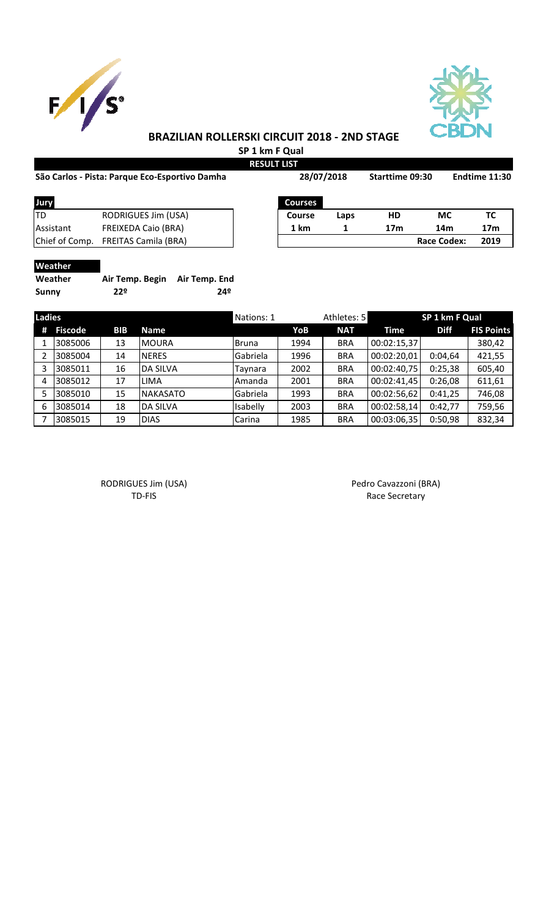



**SP 1 km F Qual**

|                                                |                             | <b>RESULT LIST</b> |      |                 |                    |                 |
|------------------------------------------------|-----------------------------|--------------------|------|-----------------|--------------------|-----------------|
| São Carlos - Pista: Parque Eco-Esportivo Damha |                             | 28/07/2018         |      | Starttime 09:30 |                    | Endtime 11:30   |
| Jury                                           |                             | <b>Courses</b>     |      |                 |                    |                 |
| lTD                                            | RODRIGUES Jim (USA)         | Course             | Laps | HD              | <b>MC</b>          | ТC              |
| Assistant                                      | <b>FREIXEDA Caio (BRA)</b>  | 1 km               |      | 17 <sub>m</sub> | 14m                | 17 <sub>m</sub> |
| Chief of Comp.                                 | <b>FREITAS Camila (BRA)</b> |                    |      |                 | <b>Race Codex:</b> | 2019            |

# **Weather**

| Weather      | Air Temp. Begin Air Temp. End |     |
|--------------|-------------------------------|-----|
| <b>Sunny</b> | 22º                           | 24º |

| <b>Ladies</b> |                |            |                 | Nations: 1   |      | Athletes: 5 |             | SP 1 km F Qual |                   |
|---------------|----------------|------------|-----------------|--------------|------|-------------|-------------|----------------|-------------------|
| #             | <b>Fiscode</b> | <b>BIB</b> | <b>Name</b>     |              | YoB  | <b>NAT</b>  | Time        | <b>Diff</b>    | <b>FIS Points</b> |
|               | 3085006        | 13         | <b>MOURA</b>    | <b>Bruna</b> | 1994 | <b>BRA</b>  | 00:02:15,37 |                | 380,42            |
|               | 3085004        | 14         | <b>NERES</b>    | Gabriela     | 1996 | <b>BRA</b>  | 00:02:20,01 | 0:04,64        | 421,55            |
| 3             | 3085011        | 16         | <b>DA SILVA</b> | Taynara      | 2002 | <b>BRA</b>  | 00:02:40,75 | 0:25,38        | 605,40            |
| 4             | 3085012        | 17         | <b>LIMA</b>     | Amanda       | 2001 | <b>BRA</b>  | 00:02:41,45 | 0:26,08        | 611,61            |
|               | 3085010        | 15         | <b>NAKASATO</b> | Gabriela     | 1993 | <b>BRA</b>  | 00:02:56,62 | 0:41,25        | 746,08            |
| 6             | 3085014        | 18         | <b>DA SILVA</b> | Isabelly     | 2003 | <b>BRA</b>  | 00:02:58,14 | 0:42,77        | 759,56            |
|               | 3085015        | 19         | <b>DIAS</b>     | Carina       | 1985 | <b>BRA</b>  | 00:03:06,35 | 0:50,98        | 832,34            |

RODRIGUES Jim (USA) Pedro Cavazzoni (BRA)

TD-FIS Race Secretary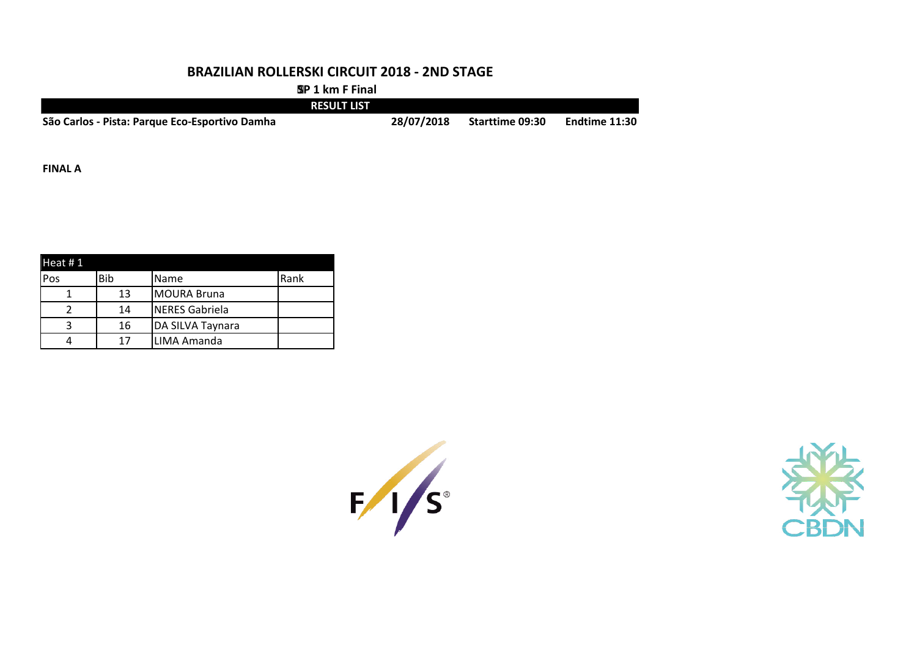**SP 1 km F Final**

|                                                | <b>RESULT LIST</b> |            |                        |               |
|------------------------------------------------|--------------------|------------|------------------------|---------------|
| São Carlos - Pista: Parque Eco-Esportivo Damha |                    | 28/07/2018 | <b>Starttime 09:30</b> | Endtime 11:30 |

**FINAL A**

| Heat $#1$ |     |                       |             |
|-----------|-----|-----------------------|-------------|
| Pos       | Bib | Name                  | <b>Rank</b> |
|           | 13  | <b>MOURA Bruna</b>    |             |
|           | 14  | <b>NERES Gabriela</b> |             |
|           | 16  | DA SILVA Taynara      |             |
|           | 17  | LIMA Amanda           |             |



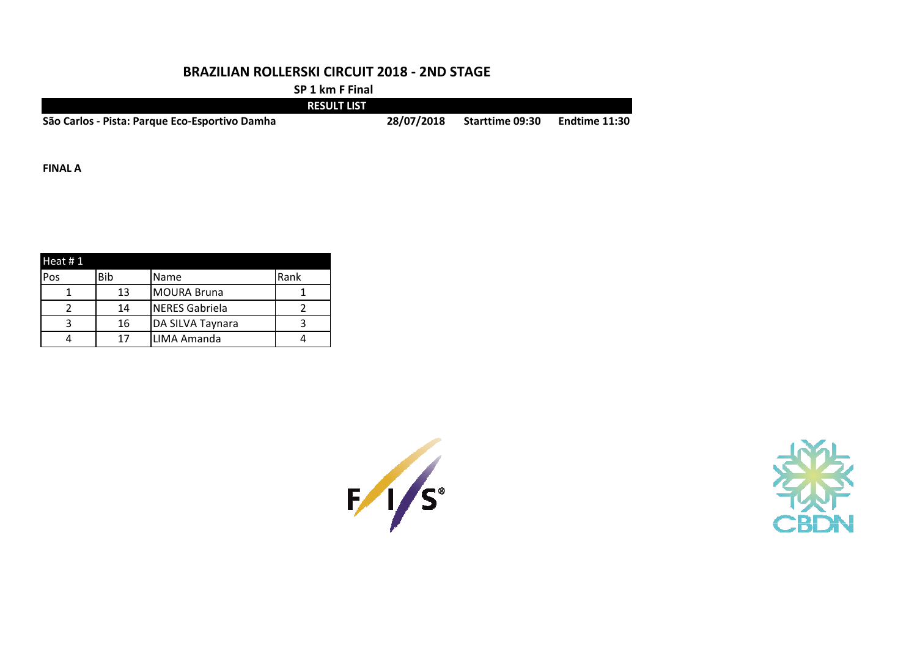**SP 1 km F Final**

|                                                | <b>RESULT LIST</b> |            |                        |               |
|------------------------------------------------|--------------------|------------|------------------------|---------------|
| São Carlos - Pista: Parque Eco-Esportivo Damha |                    | 28/07/2018 | <b>Starttime 09:30</b> | Endtime 11:30 |

**FINAL A**

| Heat $#1$ |            |                       |      |
|-----------|------------|-----------------------|------|
| Pos       | <b>Bib</b> | Name                  | Rank |
|           | 13         | <b>MOURA Bruna</b>    |      |
|           | 14         | <b>NERES Gabriela</b> |      |
|           | 16         | DA SILVA Taynara      |      |
|           |            | LIMA Amanda           |      |